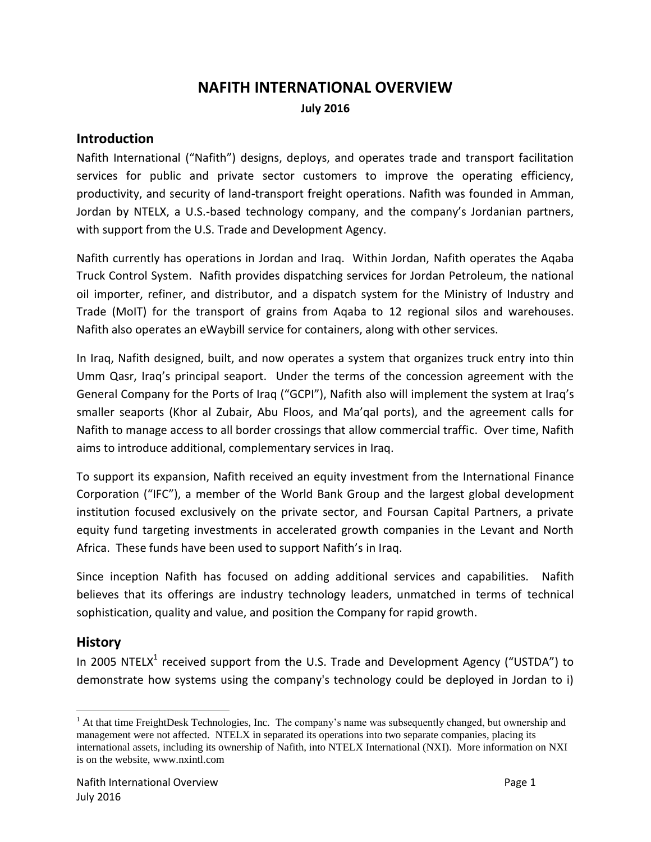# **NAFITH INTERNATIONAL OVERVIEW July 2016**

### **Introduction**

Nafith International ("Nafith") designs, deploys, and operates trade and transport facilitation services for public and private sector customers to improve the operating efficiency, productivity, and security of land-transport freight operations. Nafith was founded in Amman, Jordan by NTELX, a U.S.-based technology company, and the company's Jordanian partners, with support from the U.S. Trade and Development Agency.

Nafith currently has operations in Jordan and Iraq. Within Jordan, Nafith operates the Aqaba Truck Control System. Nafith provides dispatching services for Jordan Petroleum, the national oil importer, refiner, and distributor, and a dispatch system for the Ministry of Industry and Trade (MoIT) for the transport of grains from Aqaba to 12 regional silos and warehouses. Nafith also operates an eWaybill service for containers, along with other services.

In Iraq, Nafith designed, built, and now operates a system that organizes truck entry into thin Umm Qasr, Iraq's principal seaport. Under the terms of the concession agreement with the General Company for the Ports of Iraq ("GCPI"), Nafith also will implement the system at Iraq's smaller seaports (Khor al Zubair, Abu Floos, and Ma'qal ports), and the agreement calls for Nafith to manage access to all border crossings that allow commercial traffic. Over time, Nafith aims to introduce additional, complementary services in Iraq.

To support its expansion, Nafith received an equity investment from the International Finance Corporation ("IFC"), a member of the World Bank Group and the largest global development institution focused exclusively on the private sector, and Foursan Capital Partners, a private equity fund targeting investments in accelerated growth companies in the Levant and North Africa. These funds have been used to support Nafith's in Iraq.

Since inception Nafith has focused on adding additional services and capabilities. Nafith believes that its offerings are industry technology leaders, unmatched in terms of technical sophistication, quality and value, and position the Company for rapid growth.

### **History**

 $\overline{\phantom{a}}$ 

In 2005 NTELX<sup>1</sup> received support from the U.S. Trade and Development Agency ("USTDA") to demonstrate how systems using the company's technology could be deployed in Jordan to i)

 $<sup>1</sup>$  At that time FreightDesk Technologies, Inc. The company's name was subsequently changed, but ownership and</sup> management were not affected. NTELX in separated its operations into two separate companies, placing its international assets, including its ownership of Nafith, into NTELX International (NXI). More information on NXI is on the website, www.nxintl.com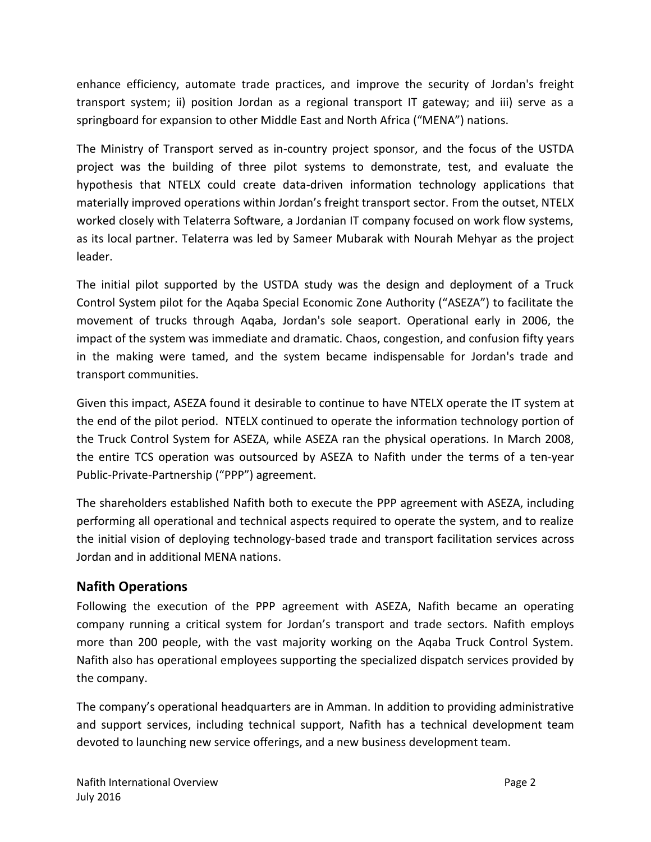enhance efficiency, automate trade practices, and improve the security of Jordan's freight transport system; ii) position Jordan as a regional transport IT gateway; and iii) serve as a springboard for expansion to other Middle East and North Africa ("MENA") nations.

The Ministry of Transport served as in-country project sponsor, and the focus of the USTDA project was the building of three pilot systems to demonstrate, test, and evaluate the hypothesis that NTELX could create data-driven information technology applications that materially improved operations within Jordan's freight transport sector. From the outset, NTELX worked closely with Telaterra Software, a Jordanian IT company focused on work flow systems, as its local partner. Telaterra was led by Sameer Mubarak with Nourah Mehyar as the project leader.

The initial pilot supported by the USTDA study was the design and deployment of a Truck Control System pilot for the Aqaba Special Economic Zone Authority ("ASEZA") to facilitate the movement of trucks through Aqaba, Jordan's sole seaport. Operational early in 2006, the impact of the system was immediate and dramatic. Chaos, congestion, and confusion fifty years in the making were tamed, and the system became indispensable for Jordan's trade and transport communities.

Given this impact, ASEZA found it desirable to continue to have NTELX operate the IT system at the end of the pilot period. NTELX continued to operate the information technology portion of the Truck Control System for ASEZA, while ASEZA ran the physical operations. In March 2008, the entire TCS operation was outsourced by ASEZA to Nafith under the terms of a ten-year Public-Private-Partnership ("PPP") agreement.

The shareholders established Nafith both to execute the PPP agreement with ASEZA, including performing all operational and technical aspects required to operate the system, and to realize the initial vision of deploying technology-based trade and transport facilitation services across Jordan and in additional MENA nations.

## **Nafith Operations**

Following the execution of the PPP agreement with ASEZA, Nafith became an operating company running a critical system for Jordan's transport and trade sectors. Nafith employs more than 200 people, with the vast majority working on the Aqaba Truck Control System. Nafith also has operational employees supporting the specialized dispatch services provided by the company.

The company's operational headquarters are in Amman. In addition to providing administrative and support services, including technical support, Nafith has a technical development team devoted to launching new service offerings, and a new business development team.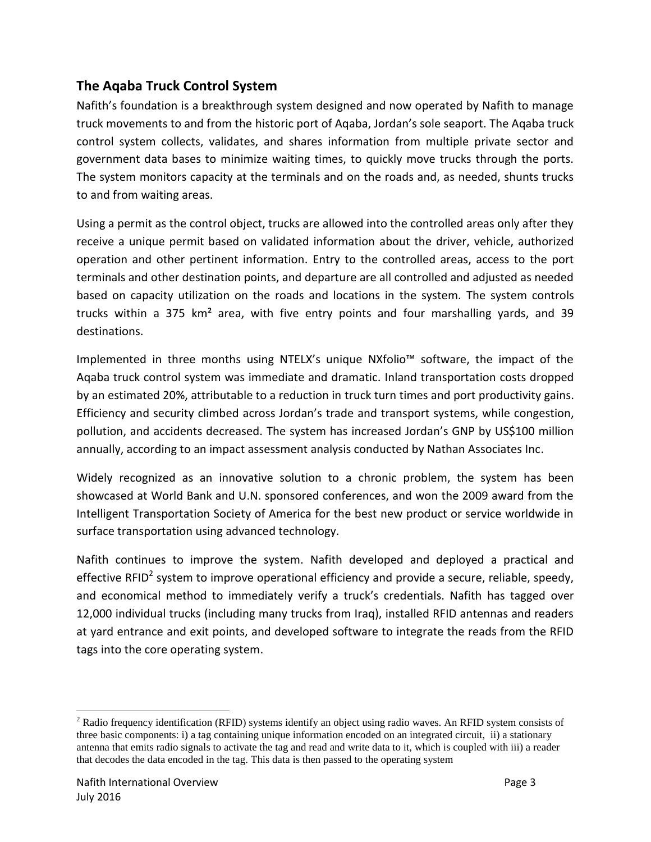# **The Aqaba Truck Control System**

Nafith's foundation is a breakthrough system designed and now operated by Nafith to manage truck movements to and from the historic port of Aqaba, Jordan's sole seaport. The Aqaba truck control system collects, validates, and shares information from multiple private sector and government data bases to minimize waiting times, to quickly move trucks through the ports. The system monitors capacity at the terminals and on the roads and, as needed, shunts trucks to and from waiting areas.

Using a permit as the control object, trucks are allowed into the controlled areas only after they receive a unique permit based on validated information about the driver, vehicle, authorized operation and other pertinent information. Entry to the controlled areas, access to the port terminals and other destination points, and departure are all controlled and adjusted as needed based on capacity utilization on the roads and locations in the system. The system controls trucks within a 375 km² area, with five entry points and four marshalling yards, and 39 destinations.

Implemented in three months using NTELX's unique NXfolio™ software, the impact of the Aqaba truck control system was immediate and dramatic. Inland transportation costs dropped by an estimated 20%, attributable to a reduction in truck turn times and port productivity gains. Efficiency and security climbed across Jordan's trade and transport systems, while congestion, pollution, and accidents decreased. The system has increased Jordan's GNP by US\$100 million annually, according to an impact assessment analysis conducted by Nathan Associates Inc.

Widely recognized as an innovative solution to a chronic problem, the system has been showcased at World Bank and U.N. sponsored conferences, and won the 2009 award from the Intelligent Transportation Society of America for the best new product or service worldwide in surface transportation using advanced technology.

Nafith continues to improve the system. Nafith developed and deployed a practical and effective RFID<sup>2</sup> system to improve operational efficiency and provide a secure, reliable, speedy, and economical method to immediately verify a truck's credentials. Nafith has tagged over 12,000 individual trucks (including many trucks from Iraq), installed RFID antennas and readers at yard entrance and exit points, and developed software to integrate the reads from the RFID tags into the core operating system.

 $\overline{\phantom{a}}$ 

<sup>&</sup>lt;sup>2</sup> Radio frequency identification (RFID) systems identify an object using radio waves. An RFID system consists of three basic components: i) a tag containing unique information encoded on an integrated circuit, ii) a stationary antenna that emits radio signals to activate the tag and read and write data to it, which is coupled with iii) a reader that decodes the data encoded in the tag. This data is then passed to the operating system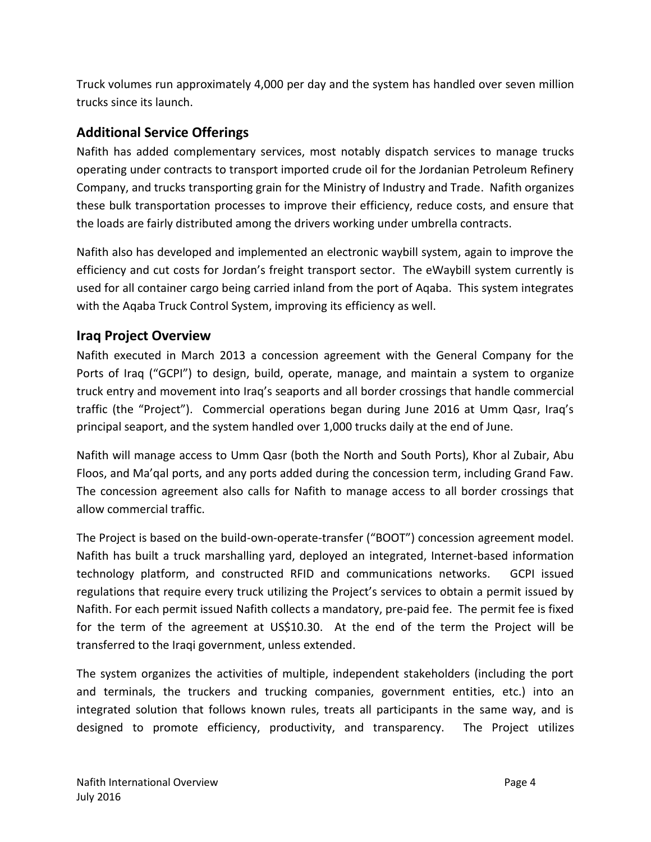Truck volumes run approximately 4,000 per day and the system has handled over seven million trucks since its launch.

# **Additional Service Offerings**

Nafith has added complementary services, most notably dispatch services to manage trucks operating under contracts to transport imported crude oil for the Jordanian Petroleum Refinery Company, and trucks transporting grain for the Ministry of Industry and Trade. Nafith organizes these bulk transportation processes to improve their efficiency, reduce costs, and ensure that the loads are fairly distributed among the drivers working under umbrella contracts.

Nafith also has developed and implemented an electronic waybill system, again to improve the efficiency and cut costs for Jordan's freight transport sector. The eWaybill system currently is used for all container cargo being carried inland from the port of Aqaba. This system integrates with the Aqaba Truck Control System, improving its efficiency as well.

# **Iraq Project Overview**

Nafith executed in March 2013 a concession agreement with the General Company for the Ports of Iraq ("GCPI") to design, build, operate, manage, and maintain a system to organize truck entry and movement into Iraq's seaports and all border crossings that handle commercial traffic (the "Project"). Commercial operations began during June 2016 at Umm Qasr, Iraq's principal seaport, and the system handled over 1,000 trucks daily at the end of June.

Nafith will manage access to Umm Qasr (both the North and South Ports), Khor al Zubair, Abu Floos, and Ma'qal ports, and any ports added during the concession term, including Grand Faw. The concession agreement also calls for Nafith to manage access to all border crossings that allow commercial traffic.

The Project is based on the build-own-operate-transfer ("BOOT") concession agreement model. Nafith has built a truck marshalling yard, deployed an integrated, Internet-based information technology platform, and constructed RFID and communications networks. GCPI issued regulations that require every truck utilizing the Project's services to obtain a permit issued by Nafith. For each permit issued Nafith collects a mandatory, pre-paid fee. The permit fee is fixed for the term of the agreement at US\$10.30. At the end of the term the Project will be transferred to the Iraqi government, unless extended.

The system organizes the activities of multiple, independent stakeholders (including the port and terminals, the truckers and trucking companies, government entities, etc.) into an integrated solution that follows known rules, treats all participants in the same way, and is designed to promote efficiency, productivity, and transparency. The Project utilizes